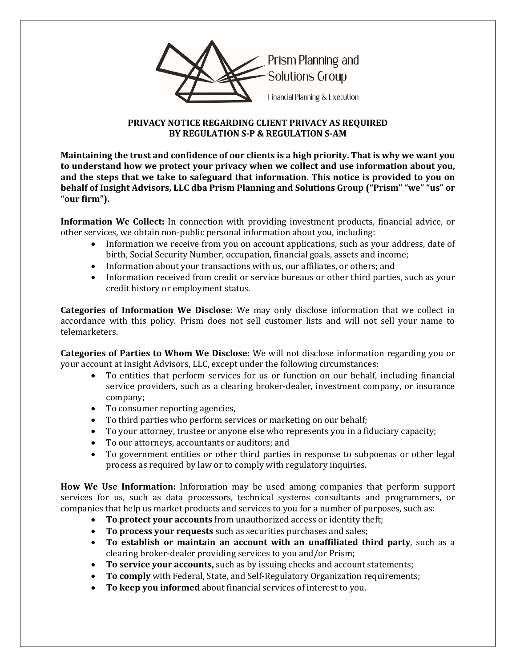

## **PRIVACY NOTICE REGARDING CLIENT PRIVACY AS REQUIRED BY REGULATION S-P & REGULATION S-AM**

**Maintaining the trust and confidence of our clients is a high priority. That is why we want you to understand how we protect your privacy when we collect and use information about you, and the steps that we take to safeguard that information. This notice is provided to you on behalf of Insight Advisors, LLC dba Prism Planning and Solutions Group ("Prism" "we" "us" or "our firm").** 

**Information We Collect:** In connection with providing investment products, financial advice, or other services, we obtain non-public personal information about you, including:

- Information we receive from you on account applications, such as your address, date of birth, Social Security Number, occupation, financial goals, assets and income;
- Information about your transactions with us, our affiliates, or others; and
- Information received from credit or service bureaus or other third parties, such as your credit history or employment status.

**Categories of Information We Disclose:** We may only disclose information that we collect in accordance with this policy. Prism does not sell customer lists and will not sell your name to telemarketers.

**Categories of Parties to Whom We Disclose:** We will not disclose information regarding you or your account at Insight Advisors, LLC, except under the following circumstances:

- To entities that perform services for us or function on our behalf, including financial service providers, such as a clearing broker-dealer, investment company, or insurance company;
- To consumer reporting agencies,
- To third parties who perform services or marketing on our behalf;
- To your attorney, trustee or anyone else who represents you in a fiduciary capacity;
- To our attorneys, accountants or auditors; and
- To government entities or other third parties in response to subpoenas or other legal process as required by law or to comply with regulatory inquiries.

**How We Use Information:** Information may be used among companies that perform support services for us, such as data processors, technical systems consultants and programmers, or companies that help us market products and services to you for a number of purposes, such as:

- **To protect your accounts** from unauthorized access or identity theft;
- **To process your requests** such as securities purchases and sales;
- **To establish or maintain an account with an unaffiliated third party**, such as a clearing broker-dealer providing services to you and/or Prism;
- **To service your accounts,** such as by issuing checks and account statements;
- **To comply** with Federal, State, and Self-Regulatory Organization requirements;
- **To keep you informed** about financial services of interest to you.